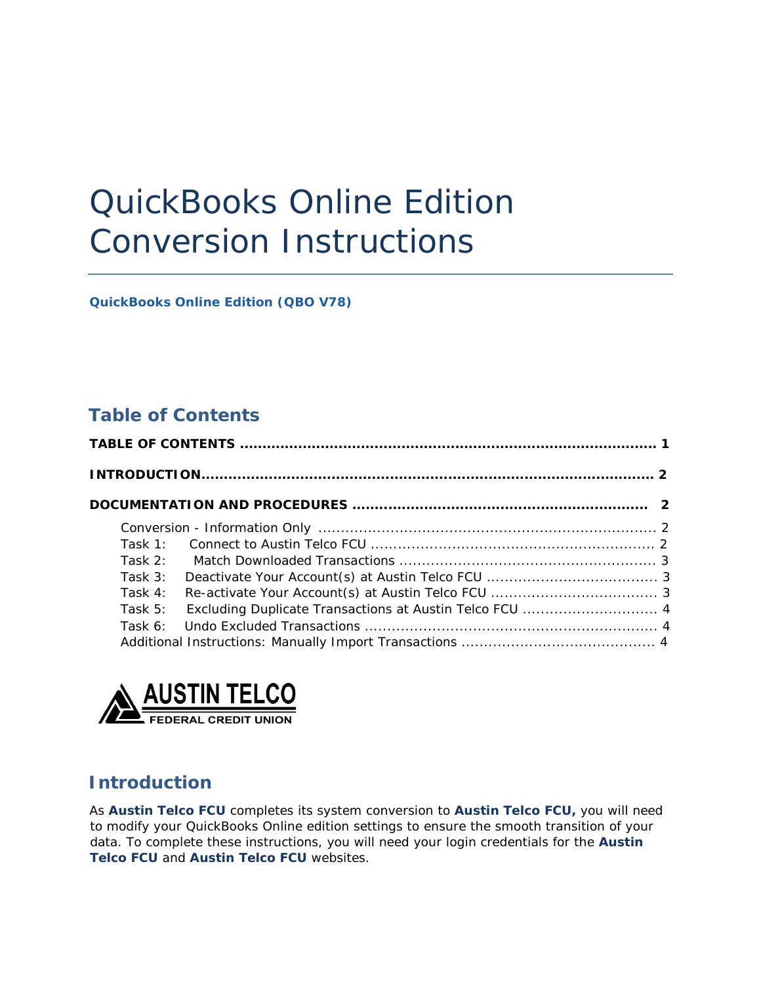# <span id="page-0-0"></span> QuickBooks Online Edition Conversion Instructions

 *QuickBooks Online Edition (QBO V78)* 

## **Table of Contents**

|  | Task 1:   |                                                         |  |
|--|-----------|---------------------------------------------------------|--|
|  | Task 2:   |                                                         |  |
|  | Task $3:$ |                                                         |  |
|  | Task $4:$ |                                                         |  |
|  | Task $5:$ | Excluding Duplicate Transactions at Austin Telco FCU  4 |  |
|  | Task 6:   |                                                         |  |
|  |           |                                                         |  |



## **Introduction**

As *Austin Telco FCU* completes its system conversion to *Austin Telco FCU,* you will need to modify your QuickBooks Online edition settings to ensure the smooth transition of your data. To complete these instructions, you will need your login credentials for the *Austin Telco FCU* and *Austin Telco FCU* websites.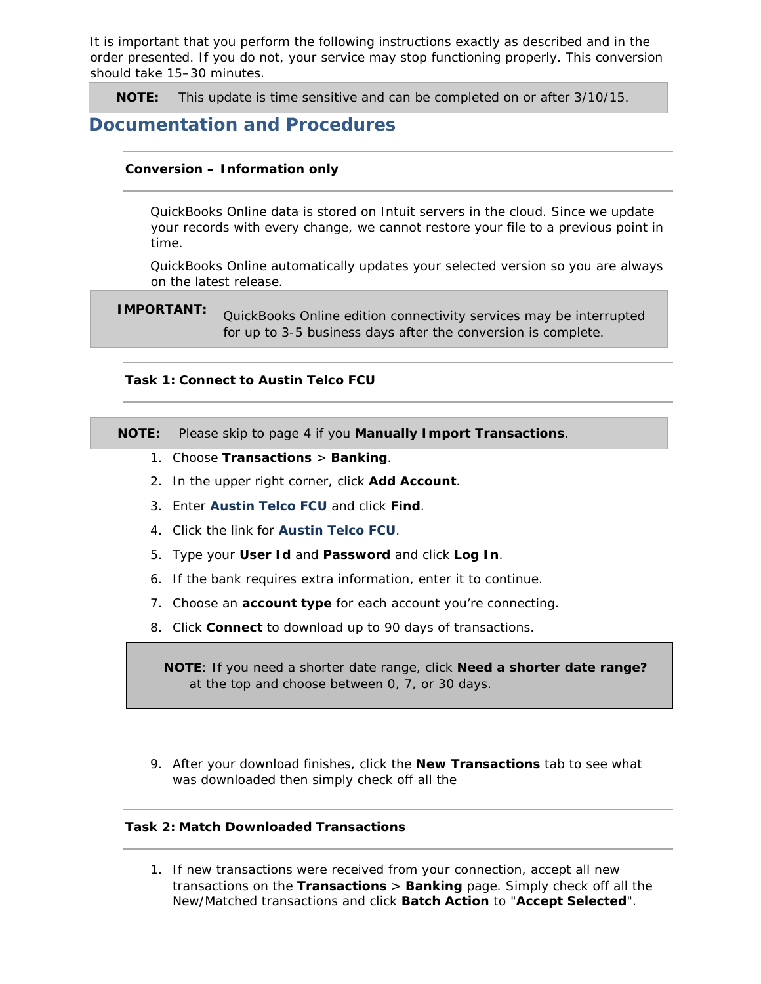<span id="page-1-0"></span> It is important that you perform the following instructions exactly as described and in the order presented. If you do not, your service may stop functioning properly. This conversion should take 15–30 minutes.

**NOTE:** This update is time sensitive and can be completed on or after 3/10/15.

### **Documentation and Procedures**

#### **Conversion – Information only**

 QuickBooks Online data is stored on Intuit servers in the cloud. Since we update your records with every change, we cannot restore your file to a previous point in time.

 QuickBooks Online automatically updates your selected version so you are always on the latest release.

**IMPORTANT:** QuickBooks Online edition connectivity services may be interrupted for up to 3-5 business days after the conversion is complete.

#### **Task 1: Connect to Austin Telco FCU**

**NOTE:** Please skip to page 4 if you **Manually Import Transactions**.

- 1. Choose **Transactions** > **Banking**.
- 2. In the upper right corner, click **Add Account**.
- 3. Enter *Austin Telco FCU* and click **Find**.
- 4. Click the link for *Austin Telco FCU*.
- 5. Type your **User Id** and **Password** and click **Log In**.
- 6. If the bank requires extra information, enter it to continue.
- 7. Choose an **account type** for each account you're connecting.
- 8. Click **Connect** to download up to 90 days of transactions.

**NOTE**: If you need a shorter date range, click **Need a shorter date range?**  at the top and choose between 0, 7, or 30 days.

 9. After your download finishes, click the **New Transactions** tab to see what was downloaded then simply check off all the

#### **Task 2: Match Downloaded Transactions**

1. If new transactions were received from your connection, accept all new transactions on the **Transactions** > **Banking** page. Simply check off all the New/Matched transactions and click **Batch Action** to "**Accept Selected**".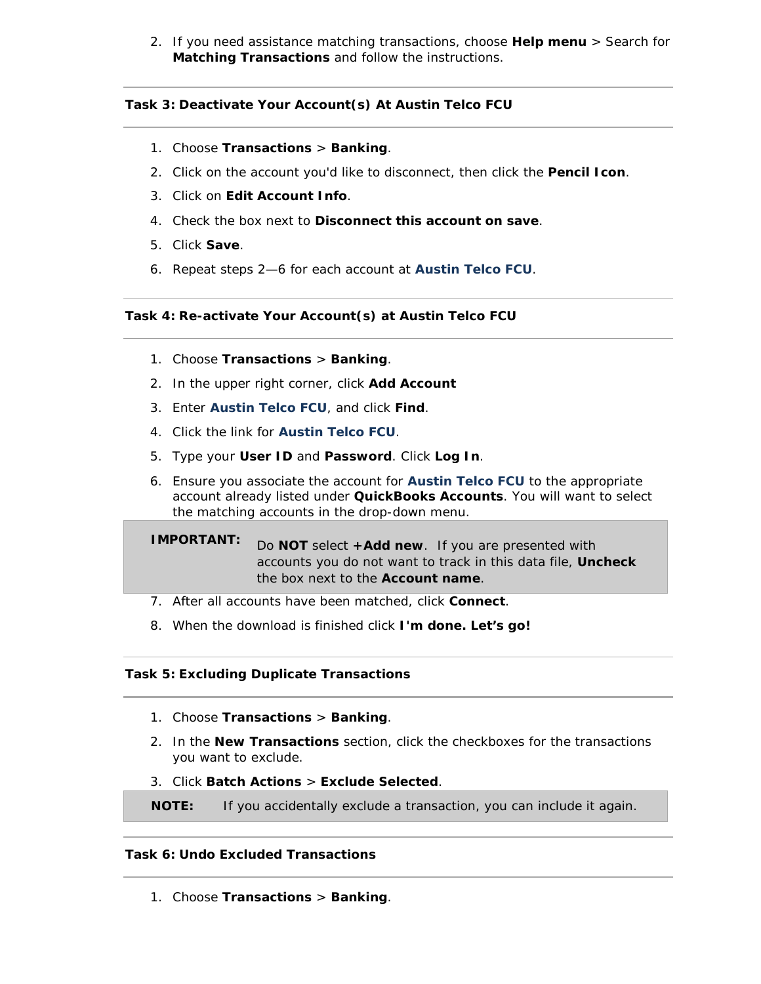<span id="page-2-0"></span> 2. If you need assistance matching transactions, choose **Help menu** > Search for **Matching Transactions** and follow the instructions.

#### **Task 3: Deactivate Your Account(s) At Austin Telco FCU**

- 1. Choose **Transactions** > **Banking**.
- 2. Click on the account you'd like to disconnect, then click the **Pencil Icon**.
- 3. Click on **Edit Account Info**.
- 4. Check the box next to **Disconnect this account on save**.
- 5. Click **Save**.
- 6. Repeat steps 2—6 for each account at *Austin Telco FCU*.

#### **Task 4: Re-activate Your Account(s) at Austin Telco FCU**

- 1. Choose **Transactions** > **Banking**.
- 2. In the upper right corner, click **Add Account**
- 3. Enter *Austin Telco FCU*, and click **Find**.
- 4. Click the link for *Austin Telco FCU*.
- 5. Type your **User ID** and **Password**. Click **Log In**.
- 6. Ensure you associate the account for **Austin Telco FCU** to the appropriate account already listed under **QuickBooks Accounts**. You will want to select the matching accounts in the drop-down menu.

**IMPORTANT:** Do **NOT** select **+Add new**. If you are presented with accounts you do not want to track in this data file, **Uncheck**  the box next to the **Account name**.

- 7. After all accounts have been matched, click **Connect**.
- 8. When the download is finished click **I'm done. Let's go!**

#### **Task 5: Excluding Duplicate Transactions**

- 1. Choose **Transactions** > **Banking**.
- 2. In the **New Transactions** section, click the checkboxes for the transactions you want to exclude.
- 3. Click **Batch Actions** > **Exclude Selected**.

**NOTE:** If you accidentally exclude a transaction, you can include it again.

#### **Task 6: Undo Excluded Transactions**

1. Choose **Transactions** > **Banking**.